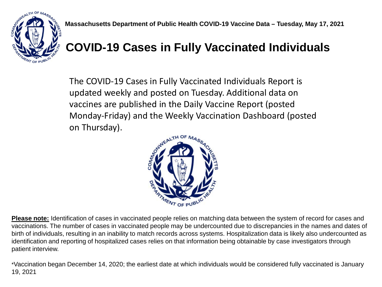

## **COVID-19 Cases in Fully Vaccinated Individuals**

The COVID-19 Cases in Fully Vaccinated Individuals Report is updated weekly and posted on Tuesday. Additional data on vaccines are published in the Daily Vaccine Report (posted Monday-Friday) and the Weekly Vaccination Dashboard (posted on Thursday).



**Please note:** Identification of cases in vaccinated people relies on matching data between the system of record for cases and vaccinations. The number of cases in vaccinated people may be undercounted due to discrepancies in the names and dates of birth of individuals, resulting in an inability to match records across systems. Hospitalization data is likely also undercounted as identification and reporting of hospitalized cases relies on that information being obtainable by case investigators through patient interview.

\*Vaccination began December 14, 2020; the earliest date at which individuals would be considered fully vaccinated is January 19, 2021